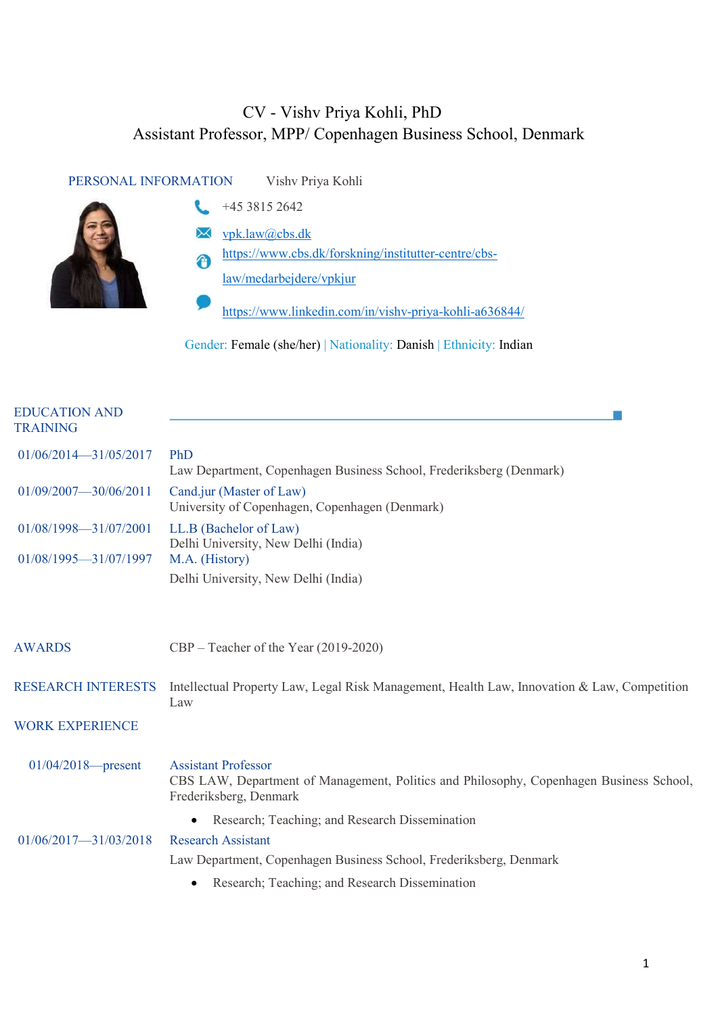## CV - Vishv Priya Kohli, PhD Assistant Professor, MPP/ Copenhagen Business School, Denmark

| PERSONAL INFORMATION | Vishy Priya Kohli                                      |
|----------------------|--------------------------------------------------------|
|                      | +45 3815 2642                                          |
|                      | vpk.law@cbs.dk                                         |
| A                    | https://www.cbs.dk/forskning/institutter-centre/cbs-   |
|                      | law/medarbejdere/vpkjur                                |
|                      | https://www.linkedin.com/in/vishv-priya-kohli-a636844/ |

Gender: Female (she/her) | Nationality: Danish | Ethnicity: Indian

| <b>EDUCATION AND</b><br><b>TRAINING</b> |                                                                                                                                                 |
|-----------------------------------------|-------------------------------------------------------------------------------------------------------------------------------------------------|
| 01/06/2014-31/05/2017                   | PhD<br>Law Department, Copenhagen Business School, Frederiksberg (Denmark)                                                                      |
| 01/09/2007-30/06/2011                   | Cand.jur (Master of Law)<br>University of Copenhagen, Copenhagen (Denmark)                                                                      |
| 01/08/1998-31/07/2001                   | LL.B (Bachelor of Law)<br>Delhi University, New Delhi (India)                                                                                   |
| $01/08/1995 - 31/07/1997$               | M.A. (History)                                                                                                                                  |
|                                         | Delhi University, New Delhi (India)                                                                                                             |
|                                         |                                                                                                                                                 |
| <b>AWARDS</b>                           | $CBP - Teacher$ of the Year (2019-2020)                                                                                                         |
|                                         |                                                                                                                                                 |
| <b>RESEARCH INTERESTS</b>               | Intellectual Property Law, Legal Risk Management, Health Law, Innovation & Law, Competition<br>Law                                              |
| <b>WORK EXPERIENCE</b>                  |                                                                                                                                                 |
|                                         |                                                                                                                                                 |
| $01/04/2018$ - present                  | <b>Assistant Professor</b><br>CBS LAW, Department of Management, Politics and Philosophy, Copenhagen Business School,<br>Frederiksberg, Denmark |
|                                         | Research; Teaching; and Research Dissemination                                                                                                  |
| $01/06/2017 - 31/03/2018$               | <b>Research Assistant</b>                                                                                                                       |
|                                         | Law Department, Copenhagen Business School, Frederiksberg, Denmark                                                                              |
|                                         | Research; Teaching; and Research Dissemination                                                                                                  |
|                                         |                                                                                                                                                 |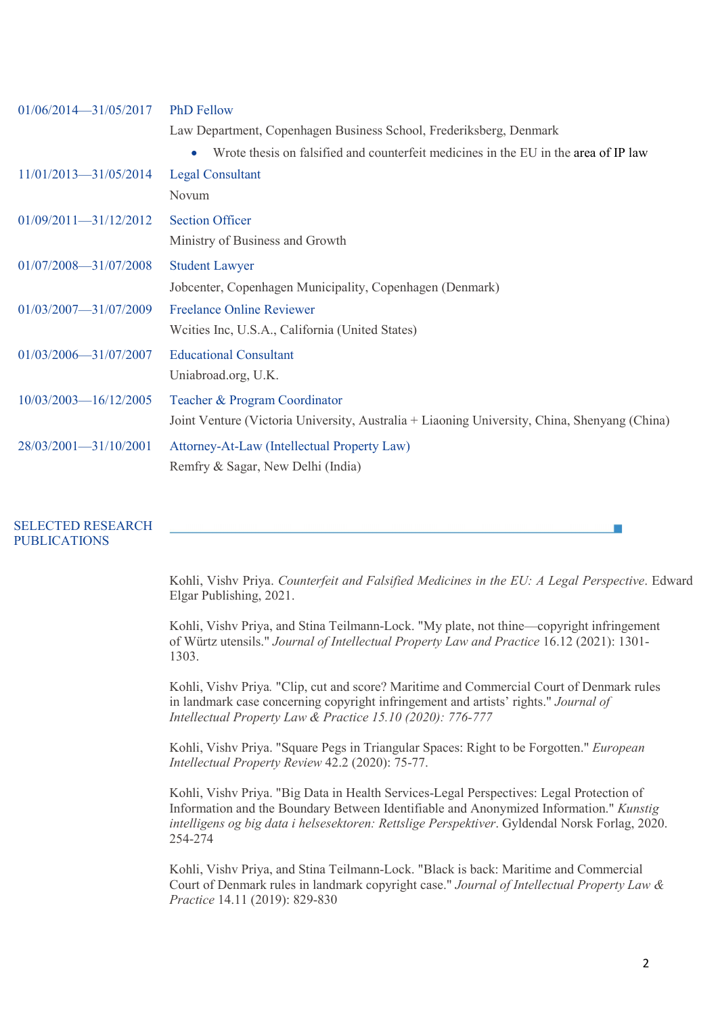| $01/06/2014 - 31/05/2017$ | <b>PhD Fellow</b>                                                                            |
|---------------------------|----------------------------------------------------------------------------------------------|
|                           | Law Department, Copenhagen Business School, Frederiksberg, Denmark                           |
|                           | Wrote thesis on falsified and counterfeit medicines in the EU in the area of IP law<br>٠     |
| $11/01/2013 - 31/05/2014$ | <b>Legal Consultant</b>                                                                      |
|                           | Novum                                                                                        |
| $01/09/2011 - 31/12/2012$ | <b>Section Officer</b>                                                                       |
|                           | Ministry of Business and Growth                                                              |
| $01/07/2008 - 31/07/2008$ | <b>Student Lawyer</b>                                                                        |
|                           | Jobcenter, Copenhagen Municipality, Copenhagen (Denmark)                                     |
| 01/03/2007-31/07/2009     | <b>Freelance Online Reviewer</b>                                                             |
|                           | Weities Inc, U.S.A., California (United States)                                              |
| 01/03/2006-31/07/2007     | <b>Educational Consultant</b>                                                                |
|                           | Uniabroad.org, U.K.                                                                          |
| 10/03/2003-16/12/2005     | Teacher & Program Coordinator                                                                |
|                           | Joint Venture (Victoria University, Australia + Liaoning University, China, Shenyang (China) |
| 28/03/2001-31/10/2001     | Attorney-At-Law (Intellectual Property Law)                                                  |
|                           | Remfry & Sagar, New Delhi (India)                                                            |

#### SELECTED RESEARCH PUBLICATIONS

Kohli, Vishv Priya. *Counterfeit and Falsified Medicines in the EU: A Legal Perspective*. Edward Elgar Publishing, 2021.

Kohli, Vishv Priya, and Stina Teilmann-Lock. "My plate, not thine—copyright infringement of Würtz utensils." *Journal of Intellectual Property Law and Practice* 16.12 (2021): 1301- 1303.

Kohli, Vishv Priya*.* "Clip, cut and score? Maritime and Commercial Court of Denmark rules in landmark case concerning copyright infringement and artists' rights." *Journal of Intellectual Property Law & Practice 15.10 (2020): 776-777*

Kohli, Vishv Priya. "Square Pegs in Triangular Spaces: Right to be Forgotten." *European Intellectual Property Review* 42.2 (2020): 75-77.

Kohli, Vishv Priya. "Big Data in Health Services-Legal Perspectives: Legal Protection of Information and the Boundary Between Identifiable and Anonymized Information." *Kunstig intelligens og big data i helsesektoren: Rettslige Perspektiver*. Gyldendal Norsk Forlag, 2020. 254-274

Kohli, Vishv Priya, and Stina Teilmann-Lock. "Black is back: Maritime and Commercial Court of Denmark rules in landmark copyright case." *Journal of Intellectual Property Law & Practice* 14.11 (2019): 829-830

**College**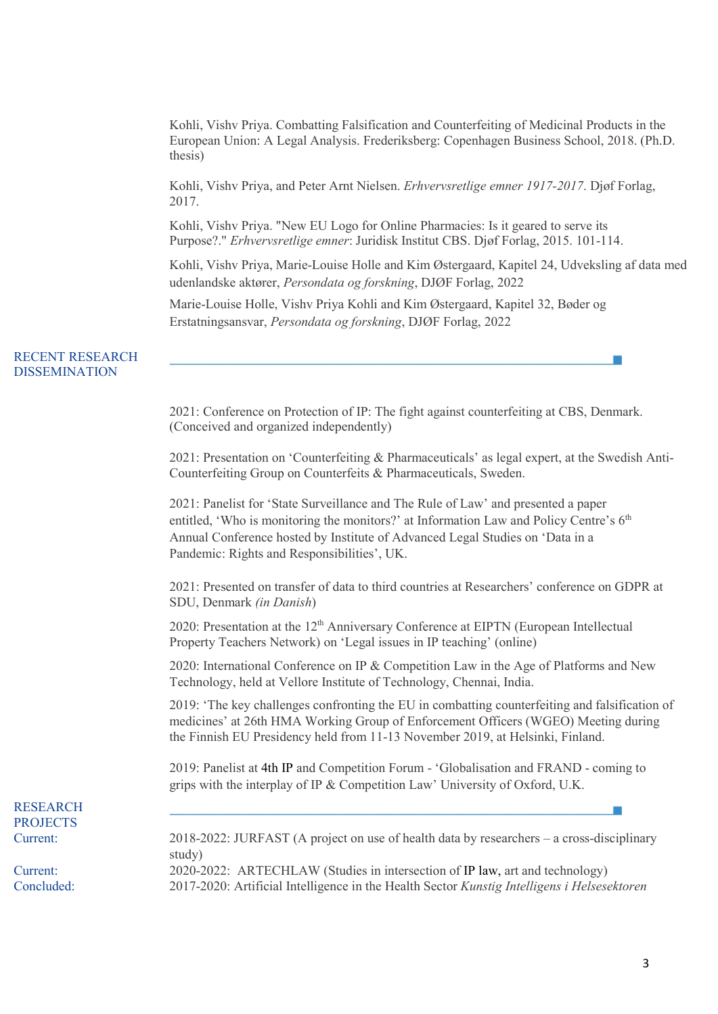Kohli, Vishv Priya. Combatting Falsification and Counterfeiting of Medicinal Products in the European Union: A Legal Analysis. Frederiksberg: Copenhagen Business School, 2018. (Ph.D. thesis)

Kohli, Vishv Priya, and Peter Arnt Nielsen. *Erhvervsretlige emner 1917-2017*. Djøf Forlag, 2017.

Kohli, Vishv Priya. "New EU Logo for Online Pharmacies: Is it geared to serve its Purpose?." *Erhvervsretlige emner*: Juridisk Institut CBS. Djøf Forlag, 2015. 101-114.

Kohli, Vishv Priya, Marie-Louise Holle and Kim Østergaard, Kapitel 24, Udveksling af data med udenlandske aktører, *Persondata og forskning*, DJØF Forlag, 2022

Marie-Louise Holle, Vishv Priya Kohli and Kim Østergaard, Kapitel 32, Bøder og Erstatningsansvar, *Persondata og forskning*, DJØF Forlag, 2022

#### RECENT RESEARCH DISSEMINATION

2021: Conference on Protection of IP: The fight against counterfeiting at CBS, Denmark. (Conceived and organized independently)

2021: Presentation on 'Counterfeiting & Pharmaceuticals' as legal expert, at the Swedish Anti-Counterfeiting Group on Counterfeits & Pharmaceuticals, Sweden.

2021: Panelist for 'State Surveillance and The Rule of Law' and presented a paper entitled, 'Who is monitoring the monitors?' at Information Law and Policy Centre's 6<sup>th</sup> Annual Conference hosted by Institute of Advanced Legal Studies on 'Data in a Pandemic: Rights and Responsibilities', UK.

2021: Presented on transfer of data to third countries at Researchers' conference on GDPR at SDU, Denmark *(in Danish*)

2020: Presentation at the  $12<sup>th</sup>$  Anniversary Conference at EIPTN (European Intellectual Property Teachers Network) on 'Legal issues in IP teaching' (online)

2020: International Conference on IP & Competition Law in the Age of Platforms and New Technology, held at Vellore Institute of Technology, Chennai, India.

2019: 'The key challenges confronting the EU in combatting counterfeiting and falsification of medicines' at 26th HMA Working Group of Enforcement Officers (WGEO) Meeting during the Finnish EU Presidency held from 11-13 November 2019, at Helsinki, Finland.

2019: Panelist at 4th IP and Competition Forum - 'Globalisation and FRAND - coming to grips with the interplay of IP & Competition Law' University of Oxford, U.K.

# RESEARCH **PROJECTS**

Current: 2018-2022: JURFAST (A project on use of health data by researchers – a cross-disciplinary study)

Current: 2020-2022: ARTECHLAW (Studies in intersection of IP law, art and technology) Concluded: 2017-2020: Artificial Intelligence in the Health Sector *Kunstig Intelligens i Helsesektoren*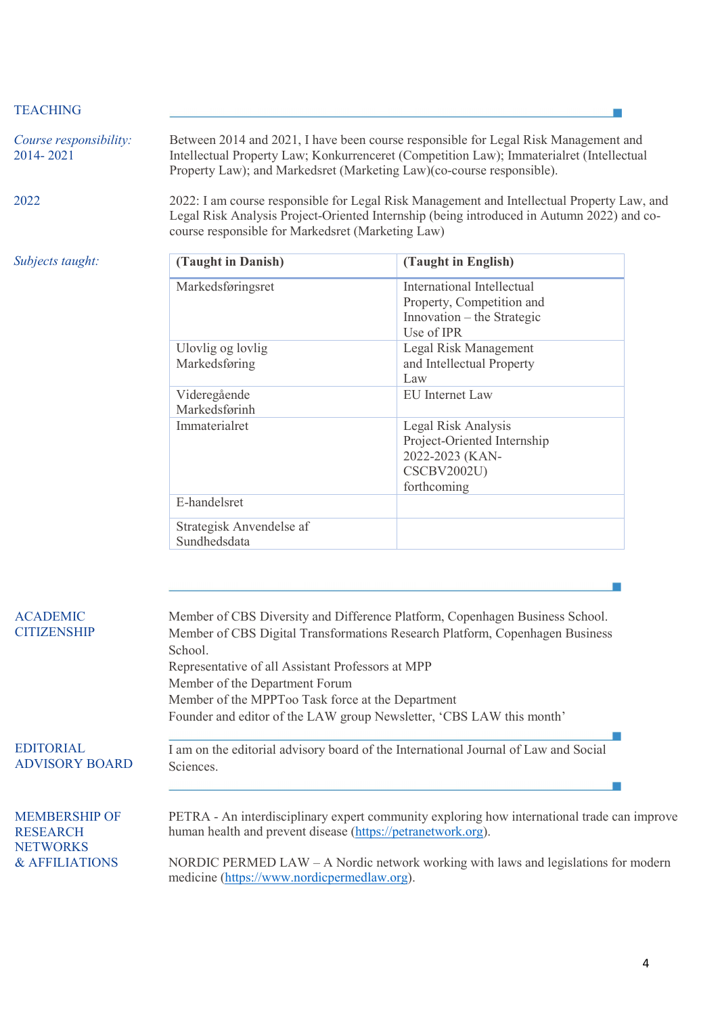### TEACHING

| Course responsibility:<br>2014-2021 | Between 2014 and 2021, I have been course responsible for Legal Risk Management and<br>Intellectual Property Law; Konkurrenceret (Competition Law); Immaterialret (Intellectual<br>Property Law); and Markedsret (Marketing Law)(co-course responsible). |                     |
|-------------------------------------|----------------------------------------------------------------------------------------------------------------------------------------------------------------------------------------------------------------------------------------------------------|---------------------|
| 2022                                | 2022: I am course responsible for Legal Risk Management and Intellectual Property Law, and<br>Legal Risk Analysis Project-Oriented Internship (being introduced in Autumn 2022) and co-<br>course responsible for Markedsret (Marketing Law)             |                     |
| Subjects taught:                    | (Taught in Danish)                                                                                                                                                                                                                                       | (Taught in English) |

| (Taught in Danish)       | (Taught in English)         |
|--------------------------|-----------------------------|
| Markedsføringsret        | International Intellectual  |
|                          | Property, Competition and   |
|                          | Innovation – the Strategic  |
|                          | Use of IPR                  |
| Ulovlig og lovlig        | Legal Risk Management       |
| Markedsføring            | and Intellectual Property   |
|                          | Law                         |
| Videregående             | <b>EU</b> Internet Law      |
| Markedsførinh            |                             |
| Immaterialret            | Legal Risk Analysis         |
|                          | Project-Oriented Internship |
|                          | 2022-2023 (KAN-             |
|                          | <b>CSCBV2002U)</b>          |
|                          | forthcoming                 |
| E-handelsret             |                             |
| Strategisk Anvendelse af |                             |
| Sundhedsdata             |                             |

| <b>ACADEMIC</b><br><b>CITIZENSHIP</b>                      | Member of CBS Diversity and Difference Platform, Copenhagen Business School.<br>Member of CBS Digital Transformations Research Platform, Copenhagen Business<br>School.<br>Representative of all Assistant Professors at MPP<br>Member of the Department Forum<br>Member of the MPPToo Task force at the Department<br>Founder and editor of the LAW group Newsletter, 'CBS LAW this month' |
|------------------------------------------------------------|---------------------------------------------------------------------------------------------------------------------------------------------------------------------------------------------------------------------------------------------------------------------------------------------------------------------------------------------------------------------------------------------|
| <b>EDITORIAL</b><br><b>ADVISORY BOARD</b>                  | I am on the editorial advisory board of the International Journal of Law and Social<br>Sciences.                                                                                                                                                                                                                                                                                            |
| <b>MEMBERSHIP OF</b><br><b>RESEARCH</b><br><b>NETWORKS</b> | PETRA - An interdisciplinary expert community exploring how international trade can improve<br>human health and prevent disease (https://petranetwork.org).                                                                                                                                                                                                                                 |
| & AFFILIATIONS                                             | NORDIC PERMED LAW $-$ A Nordic network working with laws and legislations for modern<br>medicine (https://www.nordicpermedlaw.org).                                                                                                                                                                                                                                                         |

F

 $\overline{\phantom{a}}$